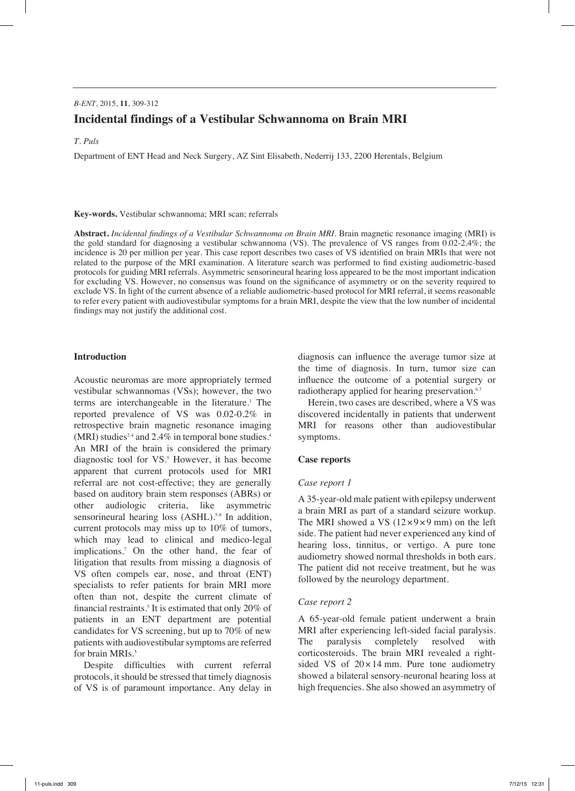# *B-ENT*, 2015, **11**, 309-312 **Incidental findings of a Vestibular Schwannoma on Brain MRI**

## *T. Puls*

Department of ENT Head and Neck Surgery, AZ Sint Elisabeth, Nederrij 133, 2200 Herentals, Belgium

#### **Key-words.** Vestibular schwannoma; MRI scan; referrals

**Abstract.** *Incidental findings of a Vestibular Schwannoma on Brain MRI.* Brain magnetic resonance imaging (MRI) is the gold standard for diagnosing a vestibular schwannoma (VS). The prevalence of VS ranges from 0.02-2.4%; the incidence is 20 per million per year. This case report describes two cases of VS identified on brain MRIs that were not related to the purpose of the MRI examination. A literature search was performed to find existing audiometric-based protocols for guiding MRI referrals. Asymmetric sensorineural hearing loss appeared to be the most important indication for excluding VS. However, no consensus was found on the significance of asymmetry or on the severity required to exclude VS. In light of the current absence of a reliable audiometric-based protocol for MRI referral, it seems reasonable to refer every patient with audiovestibular symptoms for a brain MRI, despite the view that the low number of incidental findings may not justify the additional cost.

## **Introduction**

Acoustic neuromas are more appropriately termed vestibular schwannomas (VSs); however, the two terms are interchangeable in the literature.<sup>1</sup> The reported prevalence of VS was 0.02-0.2% in retrospective brain magnetic resonance imaging (MRI) studies<sup>24</sup> and 2.4% in temporal bone studies.<sup>4</sup> An MRI of the brain is considered the primary diagnostic tool for VS.<sup>5</sup> However, it has become apparent that current protocols used for MRI referral are not cost-effective; they are generally based on auditory brain stem responses (ABRs) or other audiologic criteria, like asymmetric sensorineural hearing loss  $(ASHL).<sup>5-8</sup>$  In addition, current protocols may miss up to 10% of tumors, which may lead to clinical and medico-legal implications.7 On the other hand, the fear of litigation that results from missing a diagnosis of VS often compels ear, nose, and throat (ENT) specialists to refer patients for brain MRI more often than not, despite the current climate of financial restraints.<sup>5</sup> It is estimated that only 20% of patients in an ENT department are potential candidates for VS screening, but up to 70% of new patients with audiovestibular symptoms are referred for brain MRIs.<sup>5</sup>

Despite difficulties with current referral protocols, it should be stressed that timely diagnosis of VS is of paramount importance. Any delay in diagnosis can influence the average tumor size at the time of diagnosis. In turn, tumor size can influence the outcome of a potential surgery or radiotherapy applied for hearing preservation.<sup>6,7</sup>

Herein, two cases are described, where a VS was discovered incidentally in patients that underwent MRI for reasons other than audiovestibular symptoms.

## **Case reports**

## *Case report 1*

A 35-year-old male patient with epilepsy underwent a brain MRI as part of a standard seizure workup. The MRI showed a VS  $(12\times9\times9$  mm) on the left side. The patient had never experienced any kind of hearing loss, tinnitus, or vertigo. A pure tone audiometry showed normal thresholds in both ears. The patient did not receive treatment, but he was followed by the neurology department.

## *Case report 2*

A 65-year-old female patient underwent a brain MRI after experiencing left-sided facial paralysis. The paralysis completely resolved with corticosteroids. The brain MRI revealed a rightsided VS of  $20 \times 14$  mm. Pure tone audiometry showed a bilateral sensory-neuronal hearing loss at high frequencies. She also showed an asymmetry of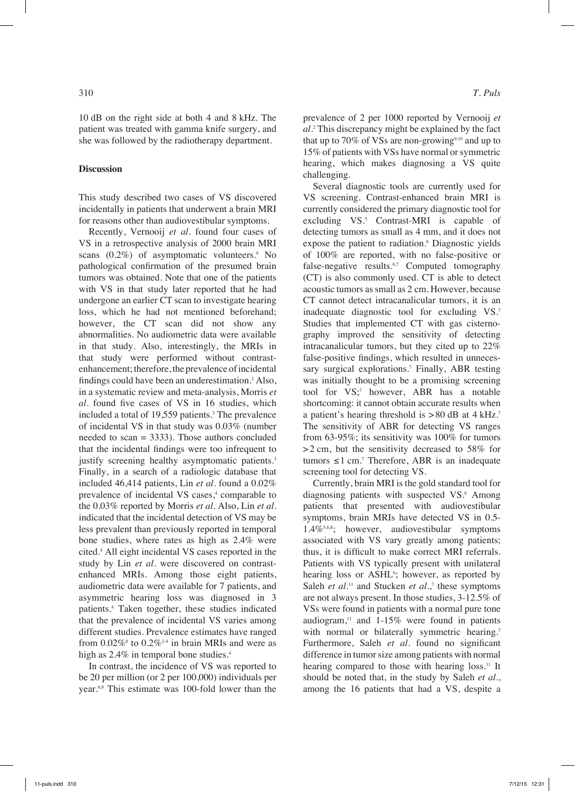10 dB on the right side at both 4 and 8 kHz. The patient was treated with gamma knife surgery, and she was followed by the radiotherapy department.

#### **Discussion**

This study described two cases of VS discovered incidentally in patients that underwent a brain MRI for reasons other than audiovestibular symptoms.

Recently, Vernooij *et al.* found four cases of VS in a retrospective analysis of 2000 brain MRI scans  $(0.2\%)$  of asymptomatic volunteers.<sup>9</sup> No pathological confirmation of the presumed brain tumors was obtained. Note that one of the patients with VS in that study later reported that he had undergone an earlier CT scan to investigate hearing loss, which he had not mentioned beforehand; however, the CT scan did not show any abnormalities. No audiometric data were available in that study. Also, interestingly, the MRIs in that study were performed without contrastenhancement; therefore, the prevalence of incidental findings could have been an underestimation.<sup>2</sup> Also, in a systematic review and meta-analysis, Morris *et al.* found five cases of VS in 16 studies, which included a total of 19,559 patients.3 The prevalence of incidental VS in that study was 0.03% (number needed to scan = 3333). Those authors concluded that the incidental findings were too infrequent to justify screening healthy asymptomatic patients.<sup>3</sup> Finally, in a search of a radiologic database that included 46,414 patients, Lin *et al.* found a 0.02% prevalence of incidental VS cases,<sup>4</sup> comparable to the 0.03% reported by Morris *et al.* Also, Lin *et al.* indicated that the incidental detection of VS may be less prevalent than previously reported in temporal bone studies, where rates as high as 2.4% were cited.4 All eight incidental VS cases reported in the study by Lin *et al.* were discovered on contrastenhanced MRIs. Among those eight patients, audiometric data were available for 7 patients, and asymmetric hearing loss was diagnosed in 3 patients.4 Taken together, these studies indicated that the prevalence of incidental VS varies among different studies. Prevalence estimates have ranged from  $0.02\%$ <sup>8</sup> to  $0.2\%$ <sup>2-4</sup> in brain MRIs and were as high as 2.4% in temporal bone studies.<sup>4</sup>

In contrast, the incidence of VS was reported to be 20 per million (or 2 per 100,000) individuals per year.6,9 This estimate was 100-fold lower than the

prevalence of 2 per 1000 reported by Vernooij *et al.*<sup>2</sup> This discrepancy might be explained by the fact that up to 70% of VSs are non-growing<sup>9,10</sup> and up to 15% of patients with VSs have normal or symmetric hearing, which makes diagnosing a VS quite challenging.

Several diagnostic tools are currently used for VS screening. Contrast-enhanced brain MRI is currently considered the primary diagnostic tool for excluding VS.<sup>5</sup> Contrast-MRI is capable of detecting tumors as small as 4 mm, and it does not expose the patient to radiation.<sup>6</sup> Diagnostic yields of 100% are reported, with no false-positive or false-negative results. $6,7$  Computed tomography (CT) is also commonly used. CT is able to detect acoustic tumors as small as 2 cm. However, because CT cannot detect intracanalicular tumors, it is an inadequate diagnostic tool for excluding VS.7 Studies that implemented CT with gas cisternography improved the sensitivity of detecting intracanalicular tumors, but they cited up to 22% false-positive findings, which resulted in unnecessary surgical explorations.<sup>7</sup> Finally, ABR testing was initially thought to be a promising screening tool for VS;<sup>7</sup> however, ABR has a notable shortcoming: it cannot obtain accurate results when a patient's hearing threshold is  $> 80$  dB at  $4$  kHz.<sup>7</sup> The sensitivity of ABR for detecting VS ranges from 63-95%; its sensitivity was 100% for tumors >2 cm, but the sensitivity decreased to 58% for tumors  $\leq 1$  cm.<sup>7</sup> Therefore, ABR is an inadequate screening tool for detecting VS.

Currently, brain MRI is the gold standard tool for diagnosing patients with suspected VS.<sup>6</sup> Among patients that presented with audiovestibular symptoms, brain MRIs have detected VS in 0.5- 1.4%5,6,8; however, audiovestibular symptoms associated with VS vary greatly among patients; thus, it is difficult to make correct MRI referrals. Patients with VS typically present with unilateral hearing loss or ASHL<sup>6</sup>; however, as reported by Saleh *et al.*<sup>11</sup> and Stucken *et al.*,<sup>7</sup> these symptoms are not always present. In those studies, 3-12.5% of VSs were found in patients with a normal pure tone audiogram, $11$  and  $1-15%$  were found in patients with normal or bilaterally symmetric hearing.<sup>7</sup> Furthermore, Saleh *et al.* found no significant difference in tumor size among patients with normal hearing compared to those with hearing loss.<sup>11</sup> It should be noted that, in the study by Saleh *et al.*, among the 16 patients that had a VS, despite a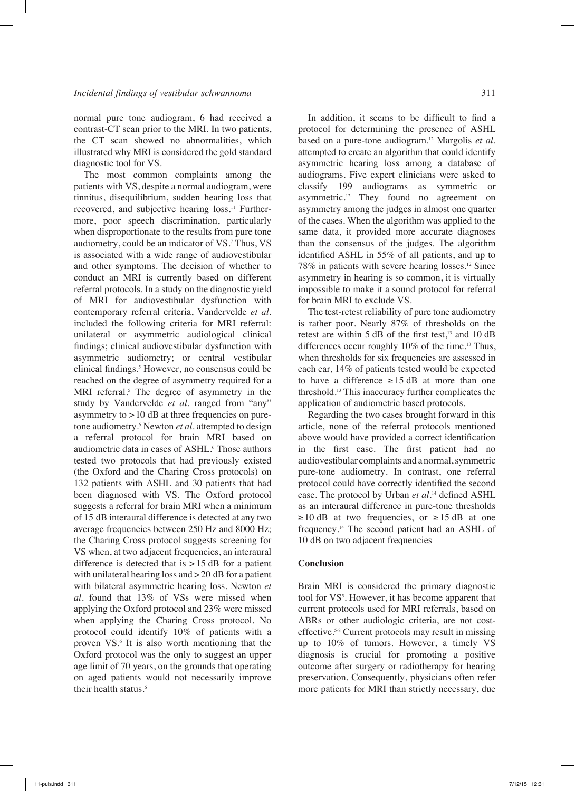normal pure tone audiogram, 6 had received a contrast-CT scan prior to the MRI. In two patients, the CT scan showed no abnormalities, which illustrated why MRI is considered the gold standard diagnostic tool for VS.

The most common complaints among the patients with VS, despite a normal audiogram, were tinnitus, disequilibrium, sudden hearing loss that recovered, and subjective hearing loss.<sup>11</sup> Furthermore, poor speech discrimination, particularly when disproportionate to the results from pure tone audiometry, could be an indicator of VS.7 Thus, VS is associated with a wide range of audiovestibular and other symptoms. The decision of whether to conduct an MRI is currently based on different referral protocols. In a study on the diagnostic yield of MRI for audiovestibular dysfunction with contemporary referral criteria, Vandervelde *et al.* included the following criteria for MRI referral: unilateral or asymmetric audiological clinical findings; clinical audiovestibular dysfunction with asymmetric audiometry; or central vestibular clinical findings.<sup>5</sup> However, no consensus could be reached on the degree of asymmetry required for a MRI referral.<sup>5</sup> The degree of asymmetry in the study by Vandervelde *et al.* ranged from "any" asymmetry to  $>10$  dB at three frequencies on puretone audiometry.5 Newton *et al.* attempted to design a referral protocol for brain MRI based on audiometric data in cases of ASHL.<sup>6</sup> Those authors tested two protocols that had previously existed (the Oxford and the Charing Cross protocols) on 132 patients with ASHL and 30 patients that had been diagnosed with VS. The Oxford protocol suggests a referral for brain MRI when a minimum of 15 dB interaural difference is detected at any two average frequencies between 250 Hz and 8000 Hz; the Charing Cross protocol suggests screening for VS when, at two adjacent frequencies, an interaural difference is detected that is  $>15$  dB for a patient with unilateral hearing loss and  $>$  20 dB for a patient with bilateral asymmetric hearing loss. Newton *et al.* found that 13% of VSs were missed when applying the Oxford protocol and 23% were missed when applying the Charing Cross protocol. No protocol could identify 10% of patients with a proven VS.<sup>6</sup> It is also worth mentioning that the Oxford protocol was the only to suggest an upper age limit of 70 years, on the grounds that operating on aged patients would not necessarily improve their health status.<sup>6</sup>

In addition, it seems to be difficult to find a protocol for determining the presence of ASHL based on a pure-tone audiogram.12 Margolis *et al.* attempted to create an algorithm that could identify asymmetric hearing loss among a database of audiograms. Five expert clinicians were asked to classify 199 audiograms as symmetric or asymmetric.12 They found no agreement on asymmetry among the judges in almost one quarter of the cases. When the algorithm was applied to the same data, it provided more accurate diagnoses than the consensus of the judges. The algorithm identified ASHL in 55% of all patients, and up to 78% in patients with severe hearing losses.12 Since asymmetry in hearing is so common, it is virtually impossible to make it a sound protocol for referral for brain MRI to exclude VS.

The test-retest reliability of pure tone audiometry is rather poor. Nearly 87% of thresholds on the retest are within  $5$  dB of the first test,<sup>13</sup> and 10 dB differences occur roughly  $10\%$  of the time.<sup>13</sup> Thus, when thresholds for six frequencies are assessed in each ear, 14% of patients tested would be expected to have a difference  $\geq 15$  dB at more than one threshold.13 This inaccuracy further complicates the application of audiometric based protocols.

Regarding the two cases brought forward in this article, none of the referral protocols mentioned above would have provided a correct identification in the first case. The first patient had no audiovestibular complaints and a normal, symmetric pure-tone audiometry. In contrast, one referral protocol could have correctly identified the second case. The protocol by Urban *et al.*14 defined ASHL as an interaural difference in pure-tone thresholds  $\geq$ 10 dB at two frequencies, or  $\geq$ 15 dB at one frequency.14 The second patient had an ASHL of 10 dB on two adjacent frequencies

#### **Conclusion**

Brain MRI is considered the primary diagnostic tool for VS<sup>5</sup>. However, it has become apparent that current protocols used for MRI referrals, based on ABRs or other audiologic criteria, are not costeffective.5-8 Current protocols may result in missing up to 10% of tumors. However, a timely VS diagnosis is crucial for promoting a positive outcome after surgery or radiotherapy for hearing preservation. Consequently, physicians often refer more patients for MRI than strictly necessary, due